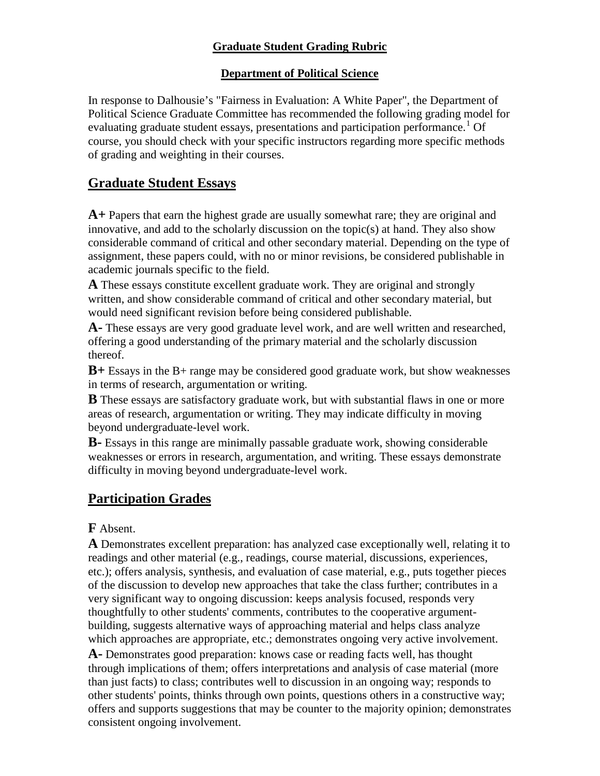### **Graduate Student Grading Rubric**

#### **Department of Political Science**

In response to Dalhousie's "Fairness in Evaluation: A White Paper", the Department of Political Science Graduate Committee has recommended the following grading model for evaluating graduate student essays, presentations and participation performance.<sup>[1](#page-2-0)</sup> Of course, you should check with your specific instructors regarding more specific methods of grading and weighting in their courses.

## **Graduate Student Essays**

**A+** Papers that earn the highest grade are usually somewhat rare; they are original and innovative, and add to the scholarly discussion on the topic(s) at hand. They also show considerable command of critical and other secondary material. Depending on the type of assignment, these papers could, with no or minor revisions, be considered publishable in academic journals specific to the field.

**A** These essays constitute excellent graduate work. They are original and strongly written, and show considerable command of critical and other secondary material, but would need significant revision before being considered publishable.

**A-** These essays are very good graduate level work, and are well written and researched, offering a good understanding of the primary material and the scholarly discussion thereof.

**B+** Essays in the B+ range may be considered good graduate work, but show weaknesses in terms of research, argumentation or writing.

**B** These essays are satisfactory graduate work, but with substantial flaws in one or more areas of research, argumentation or writing. They may indicate difficulty in moving beyond undergraduate-level work.

**B-** Essays in this range are minimally passable graduate work, showing considerable weaknesses or errors in research, argumentation, and writing. These essays demonstrate difficulty in moving beyond undergraduate-level work.

# **Participation Grades**

**F** Absent.

**A** Demonstrates excellent preparation: has analyzed case exceptionally well, relating it to readings and other material (e.g., readings, course material, discussions, experiences, etc.); offers analysis, synthesis, and evaluation of case material, e.g., puts together pieces of the discussion to develop new approaches that take the class further; contributes in a very significant way to ongoing discussion: keeps analysis focused, responds very thoughtfully to other students' comments, contributes to the cooperative argumentbuilding, suggests alternative ways of approaching material and helps class analyze which approaches are appropriate, etc.; demonstrates ongoing very active involvement.

**A-** Demonstrates good preparation: knows case or reading facts well, has thought through implications of them; offers interpretations and analysis of case material (more than just facts) to class; contributes well to discussion in an ongoing way; responds to other students' points, thinks through own points, questions others in a constructive way; offers and supports suggestions that may be counter to the majority opinion; demonstrates consistent ongoing involvement.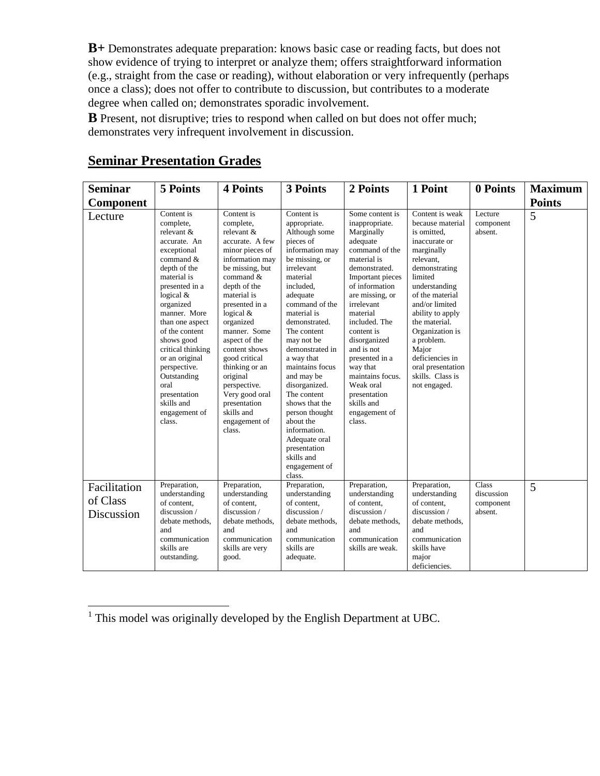**B+** Demonstrates adequate preparation: knows basic case or reading facts, but does not show evidence of trying to interpret or analyze them; offers straightforward information (e.g., straight from the case or reading), without elaboration or very infrequently (perhaps once a class); does not offer to contribute to discussion, but contributes to a moderate degree when called on; demonstrates sporadic involvement.

**B** Present, not disruptive; tries to respond when called on but does not offer much; demonstrates very infrequent involvement in discussion.

| <b>Seminar</b>                         | 5 Points                                                                                                                                                                                                                                                                                                                                                                    | <b>4 Points</b>                                                                                                                                                                                                                                                                                                                                                                                            | 3 Points                                                                                                                                                                                                                                                                                                                                                                                                                                                                     | 2 Points                                                                                                                                                                                                                                                                                                                                                                              | 1 Point                                                                                                                                                                                                                                                                                                                                     | 0 Points                                           | <b>Maximum</b> |
|----------------------------------------|-----------------------------------------------------------------------------------------------------------------------------------------------------------------------------------------------------------------------------------------------------------------------------------------------------------------------------------------------------------------------------|------------------------------------------------------------------------------------------------------------------------------------------------------------------------------------------------------------------------------------------------------------------------------------------------------------------------------------------------------------------------------------------------------------|------------------------------------------------------------------------------------------------------------------------------------------------------------------------------------------------------------------------------------------------------------------------------------------------------------------------------------------------------------------------------------------------------------------------------------------------------------------------------|---------------------------------------------------------------------------------------------------------------------------------------------------------------------------------------------------------------------------------------------------------------------------------------------------------------------------------------------------------------------------------------|---------------------------------------------------------------------------------------------------------------------------------------------------------------------------------------------------------------------------------------------------------------------------------------------------------------------------------------------|----------------------------------------------------|----------------|
| Component                              |                                                                                                                                                                                                                                                                                                                                                                             |                                                                                                                                                                                                                                                                                                                                                                                                            |                                                                                                                                                                                                                                                                                                                                                                                                                                                                              |                                                                                                                                                                                                                                                                                                                                                                                       |                                                                                                                                                                                                                                                                                                                                             |                                                    | <b>Points</b>  |
| Lecture                                | Content is<br>complete,<br>relevant &<br>accurate. An<br>exceptional<br>command $\&$<br>depth of the<br>material is<br>presented in a<br>logical $&$<br>organized<br>manner. More<br>than one aspect<br>of the content<br>shows good<br>critical thinking<br>or an original<br>perspective.<br>Outstanding<br>oral<br>presentation<br>skills and<br>engagement of<br>class. | Content is<br>complete,<br>relevant &<br>accurate. A few<br>minor pieces of<br>information may<br>be missing, but<br>command $\&$<br>depth of the<br>material is<br>presented in a<br>logical $&$<br>organized<br>manner. Some<br>aspect of the<br>content shows<br>good critical<br>thinking or an<br>original<br>perspective.<br>Very good oral<br>presentation<br>skills and<br>engagement of<br>class. | Content is<br>appropriate.<br>Although some<br>pieces of<br>information may<br>be missing, or<br>irrelevant<br>material<br>included,<br>adequate<br>command of the<br>material is<br>demonstrated.<br>The content<br>may not be<br>demonstrated in<br>a way that<br>maintains focus<br>and may be<br>disorganized.<br>The content<br>shows that the<br>person thought<br>about the<br>information.<br>Adequate oral<br>presentation<br>skills and<br>engagement of<br>class. | Some content is<br>inappropriate.<br>Marginally<br>adequate<br>command of the<br>material is<br>demonstrated.<br>Important pieces<br>of information<br>are missing, or<br>irrelevant<br>material<br>included. The<br>content is<br>disorganized<br>and is not<br>presented in a<br>way that<br>maintains focus.<br>Weak oral<br>presentation<br>skills and<br>engagement of<br>class. | Content is weak<br>because material<br>is omitted.<br>inaccurate or<br>marginally<br>relevant.<br>demonstrating<br>limited<br>understanding<br>of the material<br>and/or limited<br>ability to apply<br>the material.<br>Organization is<br>a problem.<br>Major<br>deficiencies in<br>oral presentation<br>skills. Class is<br>not engaged. | Lecture<br>component<br>absent.                    | 5              |
| Facilitation<br>of Class<br>Discussion | Preparation,<br>understanding<br>of content,<br>discussion /<br>debate methods,<br>and<br>communication<br>skills are<br>outstanding.                                                                                                                                                                                                                                       | Preparation,<br>understanding<br>of content,<br>discussion /<br>debate methods,<br>and<br>communication<br>skills are very<br>good.                                                                                                                                                                                                                                                                        | Preparation,<br>understanding<br>of content,<br>discussion /<br>debate methods.<br>and<br>communication<br>skills are<br>adequate.                                                                                                                                                                                                                                                                                                                                           | Preparation,<br>understanding<br>of content.<br>discussion /<br>debate methods,<br>and<br>communication<br>skills are weak.                                                                                                                                                                                                                                                           | Preparation,<br>understanding<br>of content,<br>discussion /<br>debate methods.<br>and<br>communication<br>skills have<br>major<br>deficiencies.                                                                                                                                                                                            | <b>Class</b><br>discussion<br>component<br>absent. | 5              |

## **Seminar Presentation Grades**

<sup>&</sup>lt;sup>1</sup> This model was originally developed by the English Department at UBC.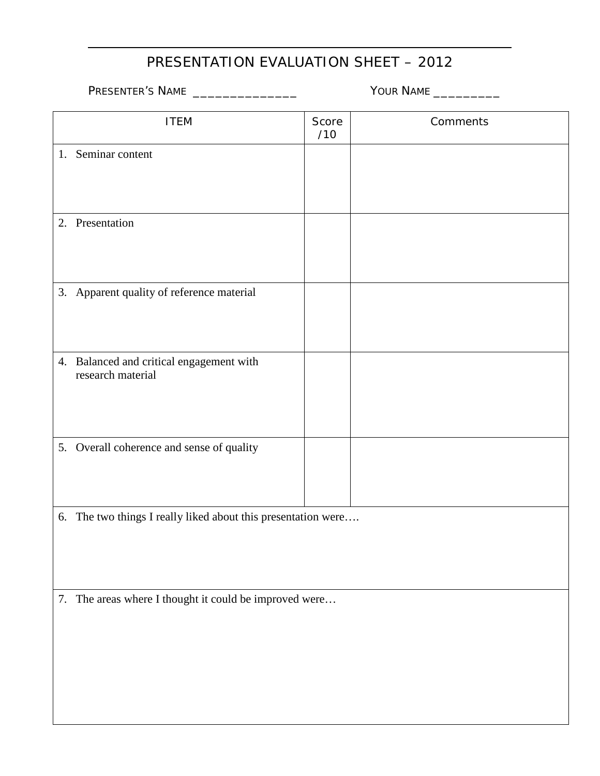# PRESENTATION EVALUATION SHEET – 2012

|  | PRESENTER'S NAME |
|--|------------------|
|--|------------------|

 $\overline{a}$ 

PRESENTER'S NAME \_\_\_\_\_\_\_\_\_\_\_\_\_\_ YOUR NAME \_\_\_\_\_\_\_\_\_

<span id="page-2-0"></span>

| <b>ITEM</b>                                                   | Score<br>/10 | Comments |  |  |  |  |
|---------------------------------------------------------------|--------------|----------|--|--|--|--|
| 1. Seminar content                                            |              |          |  |  |  |  |
|                                                               |              |          |  |  |  |  |
|                                                               |              |          |  |  |  |  |
|                                                               |              |          |  |  |  |  |
| 2. Presentation                                               |              |          |  |  |  |  |
|                                                               |              |          |  |  |  |  |
|                                                               |              |          |  |  |  |  |
|                                                               |              |          |  |  |  |  |
| 3. Apparent quality of reference material                     |              |          |  |  |  |  |
|                                                               |              |          |  |  |  |  |
|                                                               |              |          |  |  |  |  |
|                                                               |              |          |  |  |  |  |
| 4. Balanced and critical engagement with<br>research material |              |          |  |  |  |  |
|                                                               |              |          |  |  |  |  |
|                                                               |              |          |  |  |  |  |
|                                                               |              |          |  |  |  |  |
|                                                               |              |          |  |  |  |  |
| 5. Overall coherence and sense of quality                     |              |          |  |  |  |  |
|                                                               |              |          |  |  |  |  |
|                                                               |              |          |  |  |  |  |
|                                                               |              |          |  |  |  |  |
| 6. The two things I really liked about this presentation were |              |          |  |  |  |  |
|                                                               |              |          |  |  |  |  |
|                                                               |              |          |  |  |  |  |
|                                                               |              |          |  |  |  |  |
| 7. The areas where I thought it could be improved were        |              |          |  |  |  |  |
|                                                               |              |          |  |  |  |  |
|                                                               |              |          |  |  |  |  |
|                                                               |              |          |  |  |  |  |
|                                                               |              |          |  |  |  |  |
|                                                               |              |          |  |  |  |  |
|                                                               |              |          |  |  |  |  |